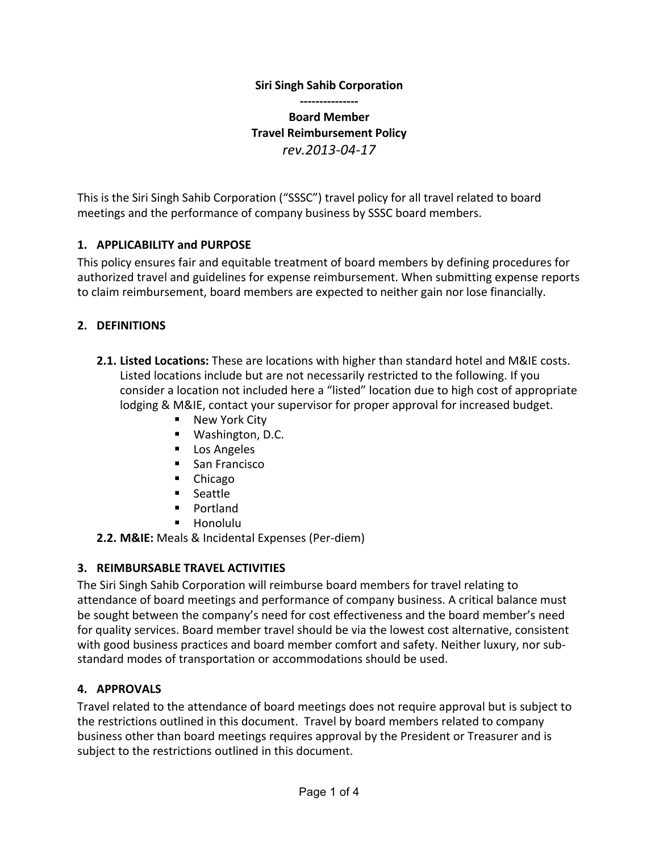### **Siri Singh Sahib Corporation**

**--------------- Board Member Travel Reimbursement Policy** *rev.2013-04-17*

This is the Siri Singh Sahib Corporation ("SSSC") travel policy for all travel related to board meetings and the performance of company business by SSSC board members.

### **1. APPLICABILITY and PURPOSE**

This policy ensures fair and equitable treatment of board members by defining procedures for authorized travel and guidelines for expense reimbursement. When submitting expense reports to claim reimbursement, board members are expected to neither gain nor lose financially.

#### **2. DEFINITIONS**

- **2.1. Listed Locations:** These are locations with higher than standard hotel and M&IE costs. Listed locations include but are not necessarily restricted to the following. If you consider a location not included here a "listed" location due to high cost of appropriate lodging & M&IE, contact your supervisor for proper approval for increased budget.
	- New York City
	- Washington, D.C.
	- Los Angeles
	- San Francisco
	- Chicago
	- Seattle
	- § Portland
	- § Honolulu

**2.2. M&IE:** Meals & Incidental Expenses (Per-diem)

### **3. REIMBURSABLE TRAVEL ACTIVITIES**

The Siri Singh Sahib Corporation will reimburse board members for travel relating to attendance of board meetings and performance of company business. A critical balance must be sought between the company's need for cost effectiveness and the board member's need for quality services. Board member travel should be via the lowest cost alternative, consistent with good business practices and board member comfort and safety. Neither luxury, nor substandard modes of transportation or accommodations should be used.

### **4. APPROVALS**

Travel related to the attendance of board meetings does not require approval but is subject to the restrictions outlined in this document. Travel by board members related to company business other than board meetings requires approval by the President or Treasurer and is subject to the restrictions outlined in this document.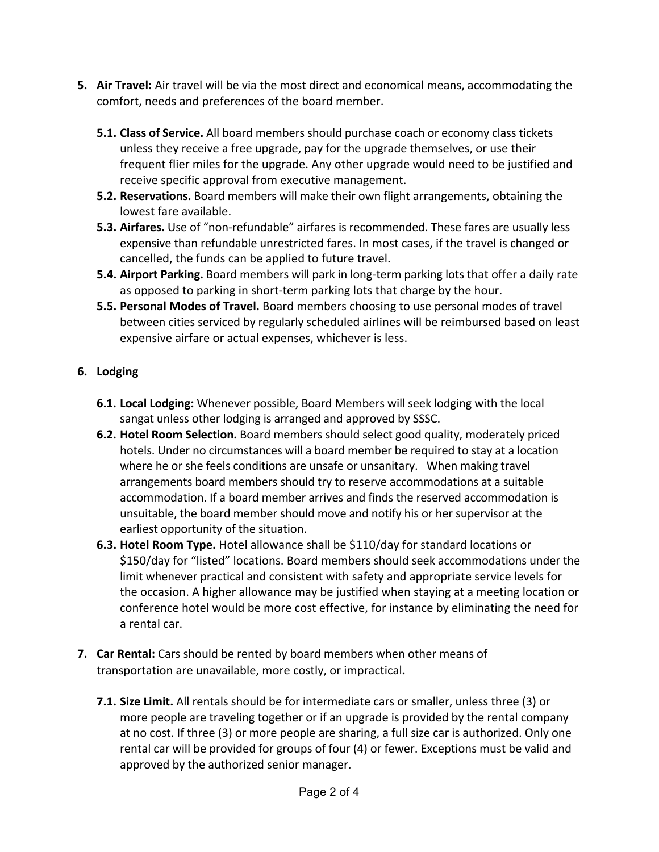- **5. Air Travel:** Air travel will be via the most direct and economical means, accommodating the comfort, needs and preferences of the board member.
	- **5.1. Class of Service.** All board members should purchase coach or economy class tickets unless they receive a free upgrade, pay for the upgrade themselves, or use their frequent flier miles for the upgrade. Any other upgrade would need to be justified and receive specific approval from executive management.
	- **5.2. Reservations.** Board members will make their own flight arrangements, obtaining the lowest fare available.
	- **5.3. Airfares.** Use of "non-refundable" airfares is recommended. These fares are usually less expensive than refundable unrestricted fares. In most cases, if the travel is changed or cancelled, the funds can be applied to future travel.
	- **5.4. Airport Parking.** Board members will park in long-term parking lots that offer a daily rate as opposed to parking in short-term parking lots that charge by the hour.
	- **5.5. Personal Modes of Travel.** Board members choosing to use personal modes of travel between cities serviced by regularly scheduled airlines will be reimbursed based on least expensive airfare or actual expenses, whichever is less.

## **6. Lodging**

- **6.1. Local Lodging:** Whenever possible, Board Members will seek lodging with the local sangat unless other lodging is arranged and approved by SSSC.
- **6.2. Hotel Room Selection.** Board members should select good quality, moderately priced hotels. Under no circumstances will a board member be required to stay at a location where he or she feels conditions are unsafe or unsanitary. When making travel arrangements board members should try to reserve accommodations at a suitable accommodation. If a board member arrives and finds the reserved accommodation is unsuitable, the board member should move and notify his or her supervisor at the earliest opportunity of the situation.
- **6.3. Hotel Room Type.** Hotel allowance shall be \$110/day for standard locations or \$150/day for "listed" locations. Board members should seek accommodations under the limit whenever practical and consistent with safety and appropriate service levels for the occasion. A higher allowance may be justified when staying at a meeting location or conference hotel would be more cost effective, for instance by eliminating the need for a rental car.
- **7. Car Rental:** Cars should be rented by board members when other means of transportation are unavailable, more costly, or impractical**.**
	- **7.1. Size Limit.** All rentals should be for intermediate cars or smaller, unless three (3) or more people are traveling together or if an upgrade is provided by the rental company at no cost. If three (3) or more people are sharing, a full size car is authorized. Only one rental car will be provided for groups of four (4) or fewer. Exceptions must be valid and approved by the authorized senior manager.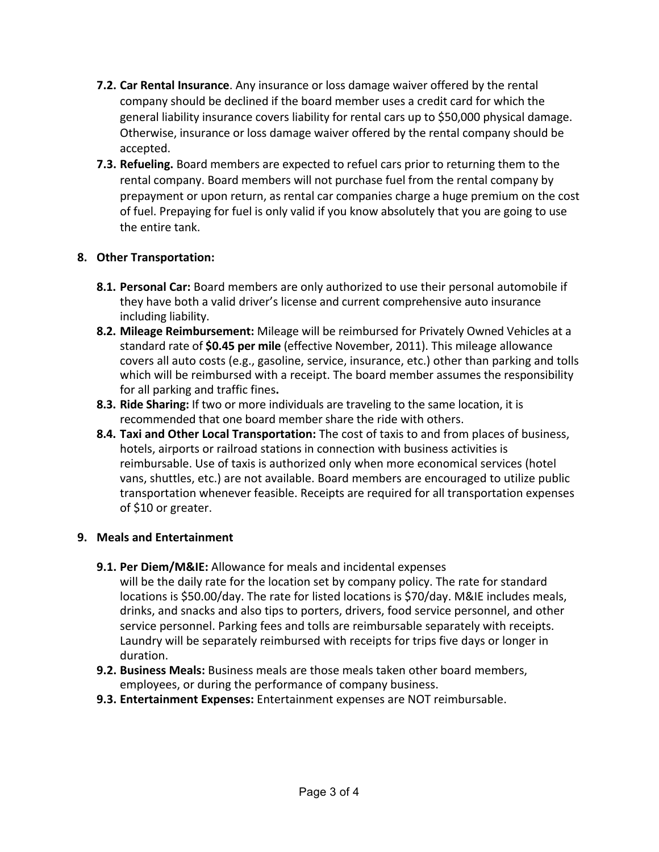- **7.2. Car Rental Insurance**. Any insurance or loss damage waiver offered by the rental company should be declined if the board member uses a credit card for which the general liability insurance covers liability for rental cars up to \$50,000 physical damage. Otherwise, insurance or loss damage waiver offered by the rental company should be accepted.
- **7.3. Refueling.** Board members are expected to refuel cars prior to returning them to the rental company. Board members will not purchase fuel from the rental company by prepayment or upon return, as rental car companies charge a huge premium on the cost of fuel. Prepaying for fuel is only valid if you know absolutely that you are going to use the entire tank.

### **8. Other Transportation:**

- **8.1. Personal Car:** Board members are only authorized to use their personal automobile if they have both a valid driver's license and current comprehensive auto insurance including liability.
- **8.2. Mileage Reimbursement:** Mileage will be reimbursed for Privately Owned Vehicles at a standard rate of **\$0.45 per mile** (effective November, 2011). This mileage allowance covers all auto costs (e.g., gasoline, service, insurance, etc.) other than parking and tolls which will be reimbursed with a receipt. The board member assumes the responsibility for all parking and traffic fines.
- **8.3. Ride Sharing:** If two or more individuals are traveling to the same location, it is recommended that one board member share the ride with others.
- **8.4. Taxi and Other Local Transportation:** The cost of taxis to and from places of business, hotels, airports or railroad stations in connection with business activities is reimbursable. Use of taxis is authorized only when more economical services (hotel vans, shuttles, etc.) are not available. Board members are encouraged to utilize public transportation whenever feasible. Receipts are required for all transportation expenses of \$10 or greater.

# **9. Meals and Entertainment**

- **9.1. Per Diem/M&IE:** Allowance for meals and incidental expenses will be the daily rate for the location set by company policy. The rate for standard locations is \$50.00/day. The rate for listed locations is \$70/day. M&IE includes meals, drinks, and snacks and also tips to porters, drivers, food service personnel, and other service personnel. Parking fees and tolls are reimbursable separately with receipts. Laundry will be separately reimbursed with receipts for trips five days or longer in duration.
- **9.2. Business Meals:** Business meals are those meals taken other board members, employees, or during the performance of company business.
- **9.3. Entertainment Expenses:** Entertainment expenses are NOT reimbursable.